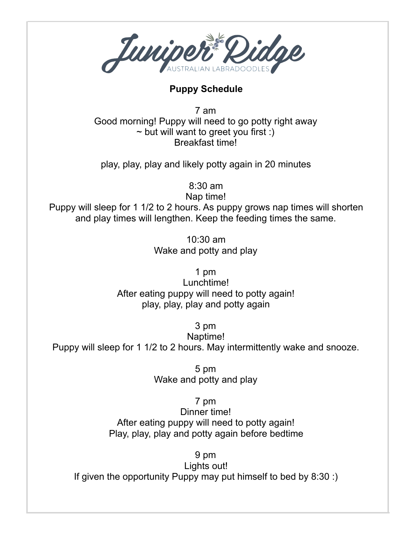

## **Puppy Schedule**

7 am Good morning! Puppy will need to go potty right away  $\sim$  but will want to greet you first :) Breakfast time!

play, play, play and likely potty again in 20 minutes

8:30 am

Nap time!

Puppy will sleep for 1 1/2 to 2 hours. As puppy grows nap times will shorten and play times will lengthen. Keep the feeding times the same.

> 10:30 am Wake and potty and play

> > 1 pm

Lunchtime! After eating puppy will need to potty again! play, play, play and potty again

3 pm

Naptime!

Puppy will sleep for 1 1/2 to 2 hours. May intermittently wake and snooze.

5 pm Wake and potty and play

7 pm

Dinner time! After eating puppy will need to potty again! Play, play, play and potty again before bedtime

9 pm

Lights out! If given the opportunity Puppy may put himself to bed by 8:30 :)